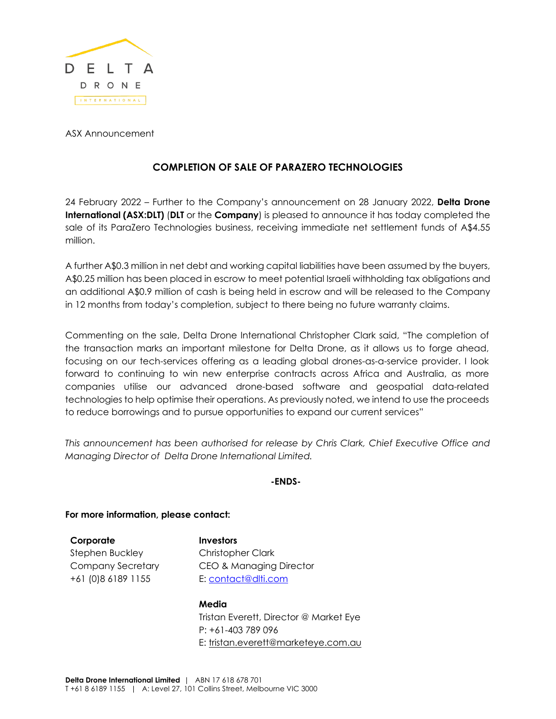

ASX Announcement

## **COMPLETION OF SALE OF PARAZERO TECHNOLOGIES**

24 February 2022 – Further to the Company's announcement on 28 January 2022, **Delta Drone International (ASX:DLT)** (**DLT** or the **Company**) is pleased to announce it has today completed the sale of its ParaZero Technologies business, receiving immediate net settlement funds of A\$4.55 million.

A further A\$0.3 million in net debt and working capital liabilities have been assumed by the buyers, A\$0.25 million has been placed in escrow to meet potential Israeli withholding tax obligations and an additional A\$0.9 million of cash is being held in escrow and will be released to the Company in 12 months from today's completion, subject to there being no future warranty claims.

Commenting on the sale, Delta Drone International Christopher Clark said, "The completion of the transaction marks an important milestone for Delta Drone, as it allows us to forge ahead, focusing on our tech-services offering as a leading global drones-as-a-service provider. I look forward to continuing to win new enterprise contracts across Africa and Australia, as more companies utilise our advanced drone-based software and geospatial data-related technologies to help optimise their operations. As previously noted, we intend to use the proceeds to reduce borrowings and to pursue opportunities to expand our current services"

*This announcement has been authorised for release by Chris Clark, Chief Executive Office and Managing Director of Delta Drone International Limited.*

**-ENDS-**

**For more information, please contact:**

**Corporate** Stephen Buckley Company Secretary +61 (0)8 6189 1155

**Investors** Christopher Clark CEO & Managing Director E: contact@dlti.com

**Media** Tristan Everett, Director @ Market Eye P: +61-403 789 096 E: tristan.everett@marketeye.com.au